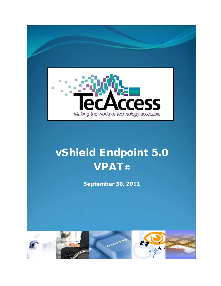

# vShield Endpoint 5.0 **VPAT©**

September 30, 2011

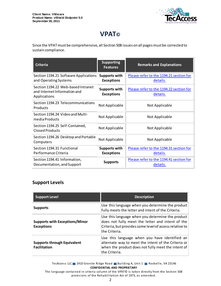

# **VPAT©**

Since the VPAT must be comprehensive, all Section 508 issues on all pages must be corrected to sustain compliance.

| <b>Criteria</b>                                                                    | <b>Supporting</b><br><b>Features</b>      | <b>Remarks and Explanations</b>                     |
|------------------------------------------------------------------------------------|-------------------------------------------|-----------------------------------------------------|
| Section 1194.21 Software Applications<br>and Operating Systems                     | <b>Supports with</b><br><b>Exceptions</b> | Please refer to the 1194.21 section for<br>details. |
| Section 1194.22 Web-based Intranet<br>and Internet Information and<br>Applications | <b>Supports with</b><br><b>Exceptions</b> | Please refer to the 1194.22 section for<br>details. |
| Section 1194.23 Telecommunications<br>Products                                     | Not Applicable                            | Not Applicable                                      |
| Section 1194.24 Video and Multi-<br>media Products                                 | Not Applicable                            | Not Applicable                                      |
| Section 1194.25 Self-Contained,<br>Closed Products                                 | Not Applicable                            | Not Applicable                                      |
| Section 1194.26 Desktop and Portable<br>Computers                                  | Not Applicable                            | Not Applicable                                      |
| Section 1194.31 Functional<br>Performance Criteria                                 | <b>Supports with</b><br><b>Exceptions</b> | Please refer to the 1194.31 section for<br>details. |
| Section 1194.41 Information,<br>Documentation, and Support                         | <b>Supports</b>                           | Please refer to the 1194.41 section for<br>details. |

#### **Support Levels**

| <b>Support Level</b>                                       | <b>Description</b>                                                                                                                                                                |
|------------------------------------------------------------|-----------------------------------------------------------------------------------------------------------------------------------------------------------------------------------|
| <b>Supports</b>                                            | Use this language when you determine the product<br>fully meets the letter and intent of the Criteria.                                                                            |
| <b>Supports with Exceptions/Minor</b><br><b>Exceptions</b> | Use this language when you determine the product<br>does not fully meet the letter and intent of the<br>Criteria, but provides some level of access relative to<br>lthe Criteria. |
| <b>Supports through Equivalent</b><br><b>Facilitation</b>  | Use this language when you have identified an<br>alternate way to meet the intent of the Criteria or<br>when the product does not fully meet the intent of<br>the Criteria.       |

TecAccess LLC 2410 Granite Ridge Road Building A, Unit 1 Rockville, VA 23146 **CONFIDENTIAL AND PROPRIETARY**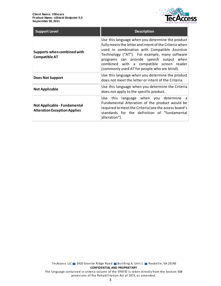

| <b>Support Level</b>                                                       | <b>Description</b>                                                                                                                                                                                                                                                                                                                                  |
|----------------------------------------------------------------------------|-----------------------------------------------------------------------------------------------------------------------------------------------------------------------------------------------------------------------------------------------------------------------------------------------------------------------------------------------------|
| Supports when combined with<br><b>Compatible AT</b>                        | Use this language when you determine the product<br>fully meets the letter and intent of the Criteria when<br>used in combination with Compatible Assistive<br>Technology ("AT"). For example, many software<br>programs can provide speech output when<br>combined with a compatible screen reader<br>(commonly used AT for people who are blind). |
| Does Not Support                                                           | Use this language when you determine the product<br>does not meet the letter or intent of the Criteria.                                                                                                                                                                                                                                             |
| <b>Not Applicable</b>                                                      | Use this language when you determine the Criteria<br>does not apply to the specific product.                                                                                                                                                                                                                                                        |
| <b>Not Applicable - Fundamental</b><br><b>Alteration Exception Applies</b> | language when you determine a<br>Use this<br>Fundamental Alteration of the product would be<br>required to meet the Criteria (see the access board's<br>standards for the definition of "fundamental<br>alteration").                                                                                                                               |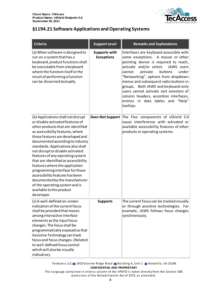

# <span id="page-3-0"></span>**§1194.21 Software Applications and Operating Systems**

| <b>Criteria</b>                                                                                                                                                                                                                                                                                                                                                                                                                                                                                                                                                                                      | <b>Support Level</b>                      | <b>Remarks and Explanations</b>                                                                                                                                                                                                                                                                                                                                                                                                                                       |
|------------------------------------------------------------------------------------------------------------------------------------------------------------------------------------------------------------------------------------------------------------------------------------------------------------------------------------------------------------------------------------------------------------------------------------------------------------------------------------------------------------------------------------------------------------------------------------------------------|-------------------------------------------|-----------------------------------------------------------------------------------------------------------------------------------------------------------------------------------------------------------------------------------------------------------------------------------------------------------------------------------------------------------------------------------------------------------------------------------------------------------------------|
| (a) When software is designed to<br>run on a system that has a<br>keyboard, product functions shall<br>be executable from a keyboard<br>where the function itself or the<br>result of performing a function<br>can be discerned textually.                                                                                                                                                                                                                                                                                                                                                           | <b>Supports with</b><br><b>Exceptions</b> | Interfaces are keyboard accessible with<br>some exceptions. A mouse or other<br>pointing device is required to reach,<br>activate and/or select.<br>JAWS users<br>activate<br>under<br>cannot<br>buttons<br>"Networking", options from dropdown<br>menus and subsequent radio buttons in<br>groups. Both JAWS and keyboard-only<br>users cannot activate sort selectors of<br>column headers, accordion interfaces,<br>entries in data tables and "Help"<br>tooltips. |
| (b) Applications shall not disrupt<br>or disable activated features of<br>other products that are identified<br>as accessibility features, where<br>those features are developed and<br>documented according to industry<br>standards. Applications also shall<br>not disrupt or disable activated<br>features of any operating system<br>that are identified as accessibility<br>features where the application<br>programming interface for those<br>accessibility features has been<br>documented by the manufacturer<br>of the operating system and is<br>available to the product<br>developer. | <b>Does Not Support</b>                   | The Flex components of vShield 5.0<br>cause interference with activated or<br>available accessibility features of other<br>products or operating systems.                                                                                                                                                                                                                                                                                                             |
| (c) A well-defined on-screen<br>indication of the current focus<br>shall be provided that moves<br>among interactive interface<br>elements as the input focus<br>changes. The focus shall be<br>programmatically exposed so that<br>Assistive Technology can track<br>focus and focus changes. (Related<br>to well-defined focus control<br>which will also be visually<br>indicative).                                                                                                                                                                                                              | <b>Supports</b>                           | The current focus can be tracked visually<br>or through assistive technologies. For<br>example, JAWS follows focus changes<br>synchronously.                                                                                                                                                                                                                                                                                                                          |

TecAccess LLC 2410 Granite Ridge Road Building A, Unit 1 Rockville, VA 23146 **CONFIDENTIAL AND PROPRIETARY**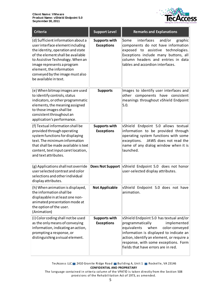

| <b>Criteria</b>                                                                                                                                                                                                                                                                                            | <b>Support Level</b>                      | <b>Remarks and Explanations</b>                                                                                                                                                                                                                                                            |
|------------------------------------------------------------------------------------------------------------------------------------------------------------------------------------------------------------------------------------------------------------------------------------------------------------|-------------------------------------------|--------------------------------------------------------------------------------------------------------------------------------------------------------------------------------------------------------------------------------------------------------------------------------------------|
| (d) Sufficient information about a<br>user interface element including<br>the identity, operation and state<br>of the element shall be available<br>to Assistive Technology. When an<br>image represents a program<br>element, the information<br>conveyed by the image must also<br>be available in text. | <b>Supports with</b><br><b>Exceptions</b> | interfaces<br>Some<br>and/or<br>graphic<br>components do not have information<br>exposed to<br>assistive technologies.<br>Exceptions include many buttons, all<br>column headers and entries in data<br>tables and accordion interfaces.                                                   |
| (e) When bitmap images are used<br>to identify controls, status<br>indicators, or other programmatic<br>elements, the meaning assigned<br>to those images shall be<br>consistent throughout an<br>application's performance.                                                                               | <b>Supports</b>                           | Images to identify user interfaces and<br>other components have<br>consistent<br>meanings throughout vShield Endpoint<br>5.0.                                                                                                                                                              |
| (f) Textual information shall be<br>provided through operating<br>system functions for displaying<br>text. The minimum information<br>that shall be made available is text<br>content, text input caret location,<br>and text attributes.                                                                  | <b>Supports with</b><br><b>Exceptions</b> | vShield Endpoint 5.0 allows textual<br>information to be provided through<br>operating system functions with some<br>exceptions.<br>JAWS does not read the<br>name of any dialog window when it is<br>launched.                                                                            |
| (g) Applications shall not override<br>user selected contrast and color<br>selections and other individual<br>display attributes.                                                                                                                                                                          | <b>Does Not Support</b>                   | vShield Endpoint 5.0 does not honor<br>user-selected display attributes.                                                                                                                                                                                                                   |
| (h) When animation is displayed,<br>the information shall be<br>displayable in at least one non-<br>animated presentation mode at<br>the option of the user.<br>(Animation)                                                                                                                                | <b>Not Applicable</b>                     | vShield Endpoint 5.0 does not have<br>animation.                                                                                                                                                                                                                                           |
| (i) Color coding shall not be used<br>as the only means of conveying<br>information, indicating an action,<br>prompting a response, or<br>distinguishing a visual element.                                                                                                                                 | <b>Supports with</b><br><b>Exceptions</b> | vShield Endpoint 5.0 has textual and/or<br>implemented<br>programmatically<br>equivalents<br>when<br>color-conveyed<br>information is displayed to indicate an<br>action, identify an element, or require a<br>response, with some exceptions. Form<br>fields that have errors are in red. |

TecAccess LLC 2410 Granite Ridge Road Building A, Unit 1 Rockville, VA 23146 **CONFIDENTIAL AND PROPRIETARY**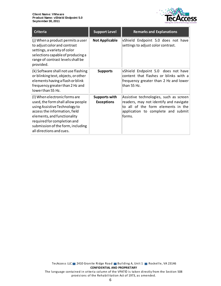

| <b>Criteria</b>                                                                                                                                                                                                                                                     | <b>Support Level</b>                      | <b>Remarks and Explanations</b>                                                                                                                                         |
|---------------------------------------------------------------------------------------------------------------------------------------------------------------------------------------------------------------------------------------------------------------------|-------------------------------------------|-------------------------------------------------------------------------------------------------------------------------------------------------------------------------|
| (j) When a product permits a user<br>to adjust color and contrast<br>settings, a variety of color<br>selections capable of producing a<br>range of contrast levels shall be<br>provided.                                                                            | <b>Not Applicable</b>                     | vShield Endpoint 5.0 does not have<br>settings to adjust color contrast.                                                                                                |
| (k) Software shall not use flashing<br>or blinking text, objects, or other<br>elements having a flash or blink<br>frequency greater than 2 Hz and<br>lowerthan 55 Hz.                                                                                               | <b>Supports</b>                           | vShield Endpoint 5.0 does not have<br>content that flashes or blinks with a<br>frequency greater than 2 Hz and lower<br>lthan 55 Hz.                                    |
| (I) When electronic forms are<br>used, the form shall allow people<br>using Assistive Technology to<br>access the information, field<br>elements, and functionality<br>required for completion and<br>submission of the form, including<br>all directions and cues. | <b>Supports with</b><br><b>Exceptions</b> | Assistive technologies, such as screen<br>readers, may not identify and navigate<br>to all of the form elements in the<br>application to complete and submit<br>lforms. |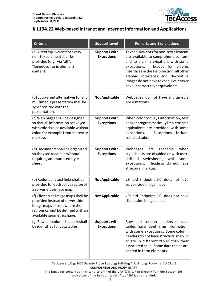

# <span id="page-6-0"></span>**§ 1194.22 Web-based Intranet and Internet Information and Applications**

| <b>Criteria</b>                                                                                                                                                          | <b>Support Level</b>                      | <b>Remarks and Explanations</b>                                                                                                                                                                                                                                                                                           |
|--------------------------------------------------------------------------------------------------------------------------------------------------------------------------|-------------------------------------------|---------------------------------------------------------------------------------------------------------------------------------------------------------------------------------------------------------------------------------------------------------------------------------------------------------------------------|
| (a) A text equivalent for every<br>non-text element shall be<br>provided (e.g., via "alt",<br>"longdesc", or in element<br>content).                                     | <b>Supports with</b><br><b>Exceptions</b> | Text equivalents for non-text elements<br>are available to comprehend content<br>and to aid in navigation, with some<br>Except for graphic<br>exceptions.<br>interfaces in the Help section, all other<br>graphic interfaces and decorative<br>images do not have text equivalents or<br>have incorrect text equivalents. |
| (b) Equivalent alternatives for any<br>multimedia presentation shall be<br>synchronized with the<br>presentation.                                                        | <b>Not Applicable</b>                     | Webpages do not have multimedia<br>presentations.                                                                                                                                                                                                                                                                         |
| (c) Web pages shall be designed<br>so that all information conveyed<br>with color is also available without<br>color, for example from context or<br>markup.             | <b>Supports with</b><br><b>Exceptions</b> | When color conveys information, text<br>and/or programmatically implemented<br>equivalents are provided, with some<br>exceptions.<br>Exceptions<br>include<br>selected tabs.                                                                                                                                              |
| (d) Documents shall be organized<br>so they are readable without<br>requiring an associated style<br>sheet.                                                              | <b>Supports with</b><br><b>Exceptions</b> | when<br>Webpages<br>readable<br>are<br>stylesheets are disabled or with user-<br>defined<br>stylesheets, with<br>some<br>exceptions. Headings do not have<br>structural markup.                                                                                                                                           |
| (e) Redundant text links shall be<br>provided for each active region of<br>a server-side image map.                                                                      | <b>Not Applicable</b>                     | vShield Endpoint 5.0 does not have<br>server-side image maps.                                                                                                                                                                                                                                                             |
| (f) Client-side image maps shall be<br>provided instead of server-side<br>image maps except where the<br>regions cannot be defined with an<br>available geometric shape. | <b>Not Applicable</b>                     | vShield Endpoint 5.0 does not have<br>client-side image maps.                                                                                                                                                                                                                                                             |
| (g) Row and column headers shall<br>be identified for data tables.                                                                                                       | <b>Supports with</b><br><b>Exceptions</b> | Row and column headers of data<br>tables have identifying information,<br>with some exceptions. Some column<br>headers do not have structural markup<br>or are in different tables than their<br>associated cells. Some data tables are<br>nested in form elements.                                                       |

TecAccess LLC 2410 Granite Ridge Road Building A, Unit 1 Rockville, VA 23146 **CONFIDENTIAL AND PROPRIETARY**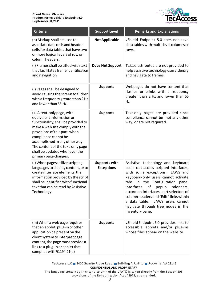

| <b>Criteria</b>                                                                                                                                                                                                                                                                                                             | <b>Support Level</b>                      | <b>Remarks and Explanations</b>                                                                                                                                                                                                                                                                                                                                                                                                   |
|-----------------------------------------------------------------------------------------------------------------------------------------------------------------------------------------------------------------------------------------------------------------------------------------------------------------------------|-------------------------------------------|-----------------------------------------------------------------------------------------------------------------------------------------------------------------------------------------------------------------------------------------------------------------------------------------------------------------------------------------------------------------------------------------------------------------------------------|
| (h) Markup shall be used to<br>associate data cells and header<br>cells for data tables that have two<br>or more logical levels of row or<br>column headers.                                                                                                                                                                | <b>Not Applicable</b>                     | vShield Endpoint 5.0 does not have<br>data tables with multi-level columns or<br>rows.                                                                                                                                                                                                                                                                                                                                            |
| (i) Frames shall be titled with text<br>that facilitates frame identification<br>and navigation                                                                                                                                                                                                                             | <b>Does Not Support</b>                   | Title attributes are not provided to<br>help assistive technology users identify<br>and navigate to frames.                                                                                                                                                                                                                                                                                                                       |
| (j) Pages shall be designed to<br>avoid causing the screen to flicker<br>with a frequency greater than 2 Hz<br>and lower than 55 Hz.                                                                                                                                                                                        | <b>Supports</b>                           | Webpages do not have content that<br>flashes or blinks with a frequency<br>greater than 2 Hz and lower than 55<br>Hz.                                                                                                                                                                                                                                                                                                             |
| (k) A text-only page, with<br>equivalent information or<br>functionality, shall be provided to<br>make a web site comply with the<br>provisions of this part, when<br>compliance cannot be<br>accomplished in any other way.<br>The content of the text-only page<br>shall be updated whenever the<br>primary page changes. | <b>Supports</b>                           | Text-only pages are provided since<br>compliance cannot be met any other<br>way, or are not required.                                                                                                                                                                                                                                                                                                                             |
| (I) When pages utilize scripting<br>languages to display content, or to<br>create interface elements, the<br>information provided by the script<br>shall be identified with functional<br>text that can be read by Assistive<br>Technology.                                                                                 | <b>Supports with</b><br><b>Exceptions</b> | Assistive technology and keyboard<br>users can access scripted interfaces,<br>with some exceptions.<br>JAWS and<br>keyboard-only users cannot activate<br>Configuration<br>tabs<br>in the<br>pane,<br>interfaces<br>οf<br>calendars,<br>popup<br>accordion interfaces, sort selectors of<br>column headers and "Edit" links within<br>a data table.<br>JAWS users cannot<br>navigate through tree nodes in the<br>Inventory pane. |
| (m) When a web page requires<br>that an applet, plug-in or other<br>application be present on the<br>client system to interpret page<br>content, the page must provide a<br>link to a plug-in or applet that<br>complies with §1194.21(a)                                                                                   | <b>Supports</b>                           | vShield Endpoint 5.0 provides links to<br>accessible applets and/or plug-ins<br>whose files appear on the website.                                                                                                                                                                                                                                                                                                                |

TecAccess LLC 2410 Granite Ridge Road Building A, Unit 1 Rockville, VA 23146 **CONFIDENTIAL AND PROPRIETARY**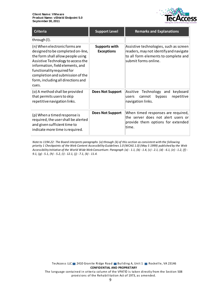

| <b>Criteria</b>                                                                                                                                                                                                                                                                                    | <b>Support Level</b>               | <b>Remarks and Explanations</b>                                                                                                                  |
|----------------------------------------------------------------------------------------------------------------------------------------------------------------------------------------------------------------------------------------------------------------------------------------------------|------------------------------------|--------------------------------------------------------------------------------------------------------------------------------------------------|
| through (I).                                                                                                                                                                                                                                                                                       |                                    |                                                                                                                                                  |
| (n) When electronic forms are<br>designed to be completed on-line,<br>the form shall allow people using<br>Assistive Technology to access the<br>information, field elements, and<br>functionality required for<br>completion and submission of the<br>form, including all directions and<br>cues. | Supports with<br><b>Exceptions</b> | Assistive technologies, such as screen<br>readers, may not identify and navigate<br>to all form elements to complete and<br>submit forms online. |
| (o) A method shall be provided<br>that permits users to skip<br>repetitive navigation links.                                                                                                                                                                                                       | <b>Does Not Support</b>            | Assitive Technology and keyboard<br>bypass<br>repetitive<br>cannot<br>users<br>navigation links.                                                 |
| (p) When a timed response is<br>required, the user shall be alerted<br>and given sufficient time to<br>indicate more time is required.                                                                                                                                                             | <b>Does Not Support</b>            | When timed responses are required,<br>the server does not alert users or<br>provide them options for extended<br>time.                           |

*Note to 1194.22: The Board interprets paragraphs (a) through (k) of this section as consistent with the following priority 1 Checkpoints of the Web Content Accessibility Guidelines 1.0 (WCAG 1.0) (May 5 1999) published by the Web Accessibility Initiative of the World Wide Web Consortium: Paragraph (a) - 1.1, (b) - 1.4, (c) - 2.1, (d) - 6.1, (e) - 1.2, (f) - 9.1, (g) - 5.1, (h) - 5.2, (i) - 12.1, (j) - 7.1, (k) - 11.4.*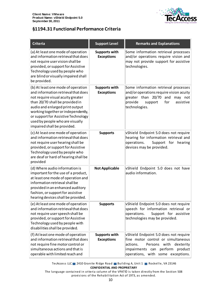

## <span id="page-9-0"></span>**§1194.31 Functional Performance Criteria**

| <b>Criteria</b>                                                                                                                                                                                                                                                                                                                     | <b>Support Level</b>                      | <b>Remarks and Explanations</b>                                                                                                                                                              |
|-------------------------------------------------------------------------------------------------------------------------------------------------------------------------------------------------------------------------------------------------------------------------------------------------------------------------------------|-------------------------------------------|----------------------------------------------------------------------------------------------------------------------------------------------------------------------------------------------|
| (a) At least one mode of operation<br>and information retrieval that does<br>not require user vision shall be<br>provided, or support for Assistive<br>Technology used by people who<br>are blind or visually impaired shall<br>be provided.                                                                                        | <b>Supports with</b><br><b>Exceptions</b> | Some information retrieval processes<br>and/or operations require vision and<br>may not provide support for assistive<br>technologies.                                                       |
| (b) At least one mode of operation<br>and information retrieval that does<br>not require visual acuity greater<br>than 20/70 shall be provided in<br>audio and enlarged print output<br>working together or independently,<br>or support for Assistive Technology<br>used by people who are visually<br>impaired shall be provided. | <b>Supports with</b><br><b>Exceptions</b> | Some information retrieval processes<br>and/or operations require vision acuity<br>greater than 20/70<br>and<br>may not<br>provide<br>for<br>assistive<br>support<br>technologies.           |
| (c) At least one mode of operation<br>and information retrieval that does<br>not require user hearing shall be<br>provided, or support for Assistive<br>Technology used by people who<br>are deaf or hard of hearing shall be<br>provided                                                                                           | <b>Supports</b>                           | vShield Endpoint 5.0 does not require<br>hearing for information retrieval and<br>operations.<br>Support for hearing<br>devices may be provided.                                             |
| (d) Where audio information is<br>important for the use of a product,<br>at least one mode of operation and<br>information retrieval shall be<br>provided in an enhanced auditory<br>fashion, or support for assistive<br>hearing devices shall be provided.                                                                        | <b>Not Applicable</b>                     | vShield Endpoint 5.0 does not have<br>audio information.                                                                                                                                     |
| (e) At least one mode of operation<br>and information retrieval that does<br>not require user speech shall be<br>provided, or support for Assistive<br>Technology used by people with<br>disabilities shall be provided.                                                                                                            | <b>Supports</b>                           | vShield Endpoint 5.0 does not require<br>speech for information retrieval or<br>operations.<br>Support for assistive<br>technologies may be provided.                                        |
| (f) At least one mode of operation<br>and information retrieval that does<br>not require fine motor control or<br>simultaneous actions and that is<br>operable with limited reach and                                                                                                                                               | <b>Supports with</b><br><b>Exceptions</b> | vShield Endpoint 5.0 does not require<br>fine motor control or simultaneous<br>Persons with<br>dexterity<br>actions.<br>impairments can perform product<br>operations, with some exceptions. |

TecAccess LLC 2410 Granite Ridge Road Building A, Unit 1 Rockville, VA 23146 **CONFIDENTIAL AND PROPRIETARY**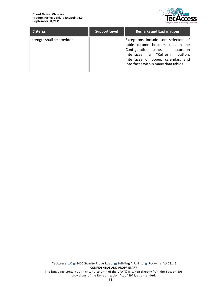

| <b>Criteria</b>             | <b>Support Level</b> | <b>Remarks and Explanations</b>                                                                                                                                                                                           |
|-----------------------------|----------------------|---------------------------------------------------------------------------------------------------------------------------------------------------------------------------------------------------------------------------|
| strength shall be provided. |                      | Exceptions include sort selectors of<br>table column headers, tabs in the<br>Configuration pane, accordion<br>interfaces, a "Refresh" button,<br>interfaces of popup calendars and<br>interfaces within many data tables. |

TecAccess LLC 2410 Granite Ridge Road Building A, Unit 1 Rockville, VA 23146 **CONFIDENTIAL AND PROPRIETARY** The language contained in criteria column of the VPAT© is taken directly from the Section 508 provisions of the Rehabilitation Act of 1973, as amended.